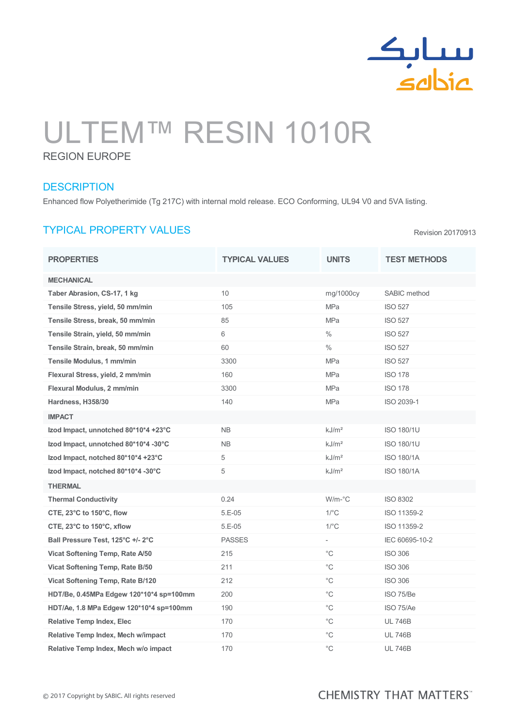

# ULTEM™ RESIN 1010R

REGION EUROPE

## **DESCRIPTION**

Enhanced flow Polyetherimide (Tg 217C) with internal mold release. ECO Conforming, UL94 V0 and 5VA listing.

# TYPICAL PROPERTY VALUES

PROPERTIES TYPICAL VALUES UNITS TEST METHODS **MECHANICAL** Taber Abrasion, CS-17, 1 kg 10 mg/1000cy SABIC method Tensile Stress, yield, 50 mm/min 105 105 MPa ISO 527 Tensile Stress, break, 50 mm/min 85 and 85 MPa ISO 527 Tensile Strain, yield, 50 mm/min 6  $\%$  6 % 1SO 527 Tensile Strain, break, 50 mm/min 60 60 60 % 80 % ISO 527 Tensile Modulus, 1 mm/min 3300 MPa ISO 527 Flexural Stress, yield, 2 mm/min 160 160 160 MPa ISO 178 Flexural Modulus, 2 mm/min 3300 MPa ISO 178 **Hardness, H358/30** 140 140 MPa ISO 2039-1 IMPACT Izod Impact, unnotched 80\*10\*4 +23°C NB kJ/m² ISO 180/1U **Izod Impact, unnotched 80\*10\*4 -30°C** NB RESOLUTION NB RJ/m<sup>2</sup> ISO 180/1U **Izod Impact, notched 80\*10\*4 +23°C** 5 **b** and  $\frac{1}{2}$  and  $\frac{1}{2}$  ISO 180/1A **Izod Impact, notched 80\*10\*4 -30°C** 5 kJ/m<sup>2</sup> kJ/m<sup>2</sup> ISO 180/1A THERMAL Thermal Conductivity 0.24 W/m-°C ISO 8302 **CTE, 23°C to 150°C, flow 5.E-05 1/°C ISO 11359-2 CTE, 23°C to 150°C, xflow 5.E-05** 5.E-05 1/°C ISO 11359-2 Ball Pressure Test, 125°C +/- 2°C  $\blacksquare$  PASSES - IEC 60695-10-2 Vicat Softening Temp, Rate A/50 215 2015 2008 2009 215 215 2010 215 2010 215 216 216 216 216 216 216 216 216 2 Vicat Softening Temp, Rate B/50 211 211 Contract Contract Contract Contract Contract Contract Contract Contract Contract Contract Contract Contract Contract Contract Contract Contract Contract Contract Contract Contract Co Vicat Softening Temp, Rate B/120 212 212 C C ISO 306 HDT/Be, 0.45MPa Edgew 120\*10\*4 sp=100mm 200 200 C C C ISO 75/Be HDT/Ae, 1.8 MPa Edgew 120\*10\*4 sp=100mm 190 °C ISO 75/Ae Relative Temp Index, Elec 170 170 C C UL 746B Relative Temp Index, Mech w/impact 170 170 C C UL 746B Relative Temp Index, Mech w/o impact 170 170 C C UL 746B

### **CHEMISTRY THAT MATTERS**

Revision 20170913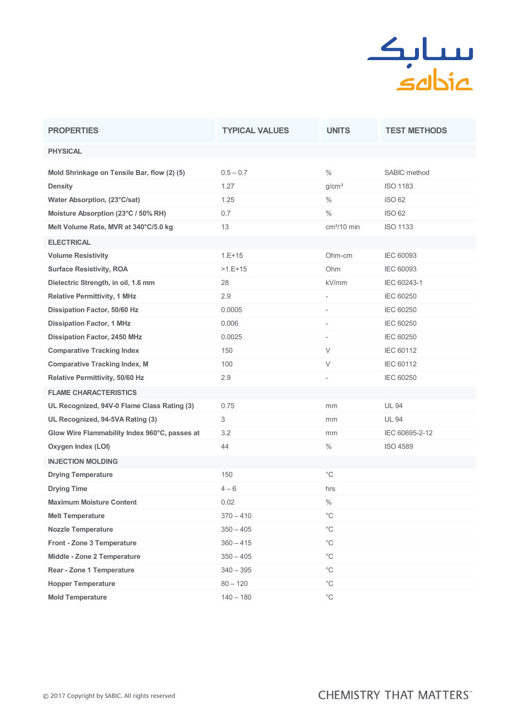

| <b>PROPERTIES</b>                             | <b>TYPICAL VALUES</b> | <b>UNITS</b>             | <b>TEST METHODS</b> |
|-----------------------------------------------|-----------------------|--------------------------|---------------------|
| <b>PHYSICAL</b>                               |                       |                          |                     |
| Mold Shrinkage on Tensile Bar, flow (2) (5)   | $0.5 - 0.7$           | $\frac{0}{0}$            | SABIC method        |
| <b>Density</b>                                | 1.27                  | g/cm <sup>3</sup>        | <b>ISO 1183</b>     |
| Water Absorption, (23°C/sat)                  | 1.25                  | $\frac{0}{0}$            | <b>ISO 62</b>       |
| Moisture Absorption (23°C / 50% RH)           | 0.7                   | $\%$                     | <b>ISO 62</b>       |
| Melt Volume Rate, MVR at 340°C/5.0 kg         | 13                    | $cm3/10$ min             | <b>ISO 1133</b>     |
| <b>ELECTRICAL</b>                             |                       |                          |                     |
| <b>Volume Resistivity</b>                     | $1.E+15$              | Ohm-cm                   | <b>IEC 60093</b>    |
| <b>Surface Resistivity, ROA</b>               | $>1.E+15$             | Ohm                      | IEC 60093           |
| Dielectric Strength, in oil, 1.6 mm           | 28                    | kV/mm                    | IEC 60243-1         |
| <b>Relative Permittivity, 1 MHz</b>           | 2.9                   |                          | <b>IEC 60250</b>    |
| Dissipation Factor, 50/60 Hz                  | 0.0005                | $\overline{\phantom{a}}$ | <b>IEC 60250</b>    |
| <b>Dissipation Factor, 1 MHz</b>              | 0.006                 | $\overline{\phantom{a}}$ | <b>IEC 60250</b>    |
| <b>Dissipation Factor, 2450 MHz</b>           | 0.0025                | $\overline{\phantom{a}}$ | IEC 60250           |
| <b>Comparative Tracking Index</b>             | 150                   | V                        | IEC 60112           |
| <b>Comparative Tracking Index, M</b>          | 100                   | $\vee$                   | IEC 60112           |
| <b>Relative Permittivity, 50/60 Hz</b>        | 2.9                   | $\bar{ }$                | <b>IEC 60250</b>    |
| <b>FLAME CHARACTERISTICS</b>                  |                       |                          |                     |
| UL Recognized, 94V-0 Flame Class Rating (3)   | 0.75                  | mm                       | <b>UL 94</b>        |
| UL Recognized, 94-5VA Rating (3)              | 3                     | mm                       | <b>UL 94</b>        |
| Glow Wire Flammability Index 960°C, passes at | 3.2                   | mm                       | IEC 60695-2-12      |
| Oxygen Index (LOI)                            | 44                    | $\frac{0}{0}$            | <b>ISO 4589</b>     |
| <b>INJECTION MOLDING</b>                      |                       |                          |                     |
| <b>Drying Temperature</b>                     | 150                   | $^{\circ}$ C             |                     |
| <b>Drying Time</b>                            | $4 - 6$               | hrs                      |                     |
| <b>Maximum Moisture Content</b>               | 0.02                  | $\%$                     |                     |
| <b>Melt Temperature</b>                       | $370 - 410$           | $^{\circ}C$              |                     |
| <b>Nozzle Temperature</b>                     | $350 - 405$           | $^{\circ}{\rm C}$        |                     |
| Front - Zone 3 Temperature                    | $360 - 415$           | $^{\circ}$ C             |                     |
| Middle - Zone 2 Temperature                   | $350 - 405$           | $^{\circ}{\rm C}$        |                     |
| <b>Rear - Zone 1 Temperature</b>              | $340 - 395$           | $^{\circ}$ C             |                     |
| <b>Hopper Temperature</b>                     | $80 - 120$            | $^{\circ}$ C             |                     |
| <b>Mold Temperature</b>                       | $140 - 180$           | $^{\circ}{\rm C}$        |                     |